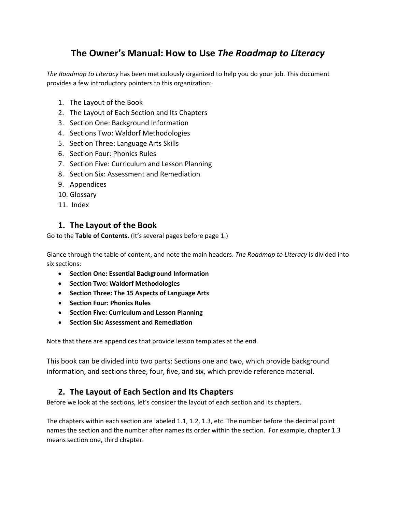# **The Owner's Manual: How to Use** *The Roadmap to Literacy*

*The Roadmap to Literacy* has been meticulously organized to help you do your job. This document provides a few introductory pointers to this organization:

- 1. The Layout of the Book
- 2. The Layout of Each Section and Its Chapters
- 3. Section One: Background Information
- 4. Sections Two: Waldorf Methodologies
- 5. Section Three: Language Arts Skills
- 6. Section Four: Phonics Rules
- 7. Section Five: Curriculum and Lesson Planning
- 8. Section Six: Assessment and Remediation
- 9. Appendices
- 10. Glossary
- 11. Index

#### **1. The Layout of the Book**

Go to the **Table of Contents**. (It's several pages before page 1.)

Glance through the table of content, and note the main headers. *The Roadmap to Literacy* is divided into six sections:

- **Section One: Essential Background Information**
- **Section Two: Waldorf Methodologies**
- **Section Three: The 15 Aspects of Language Arts**
- **Section Four: Phonics Rules**
- **Section Five: Curriculum and Lesson Planning**
- **Section Six: Assessment and Remediation**

Note that there are appendices that provide lesson templates at the end.

This book can be divided into two parts: Sections one and two, which provide background information, and sections three, four, five, and six, which provide reference material.

## **2. The Layout of Each Section and Its Chapters**

Before we look at the sections, let's consider the layout of each section and its chapters.

The chapters within each section are labeled 1.1, 1.2, 1.3, etc. The number before the decimal point names the section and the number after names its order within the section. For example, chapter 1.3 means section one, third chapter.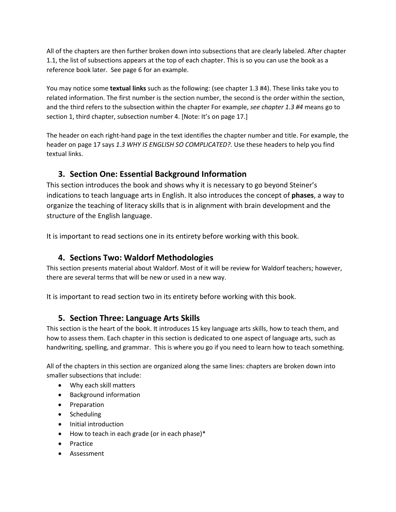All of the chapters are then further broken down into subsections that are clearly labeled. After chapter 1.1, the list of subsections appears at the top of each chapter. This is so you can use the book as a reference book later. See page 6 for an example.

You may notice some **textual links** such as the following: (see chapter 1.3 #4). These links take you to related information. The first number is the section number, the second is the order within the section, and the third refers to the subsection within the chapter For example, *see chapter 1.3 #4* means go to section 1, third chapter, subsection number 4. [Note: It's on page 17.]

The header on each right-hand page in the text identifies the chapter number and title. For example, the header on page 17 says *1.3 WHY IS ENGLISH SO COMPLICATED?.* Use these headers to help you find textual links.

# **3. Section One: Essential Background Information**

This section introduces the book and shows why it is necessary to go beyond Steiner's indications to teach language arts in English. It also introduces the concept of **phases**, a way to organize the teaching of literacy skills that is in alignment with brain development and the structure of the English language.

It is important to read sections one in its entirety before working with this book.

# **4. Sections Two: Waldorf Methodologies**

This section presents material about Waldorf. Most of it will be review for Waldorf teachers; however, there are several terms that will be new or used in a new way.

It is important to read section two in its entirety before working with this book.

# **5. Section Three: Language Arts Skills**

This section is the heart of the book. It introduces 15 key language arts skills, how to teach them, and how to assess them. Each chapter in this section is dedicated to one aspect of language arts, such as handwriting, spelling, and grammar. This is where you go if you need to learn how to teach something.

All of the chapters in this section are organized along the same lines: chapters are broken down into smaller subsections that include:

- Why each skill matters
- Background information
- Preparation
- Scheduling
- Initial introduction
- How to teach in each grade (or in each phase)\*
- Practice
- Assessment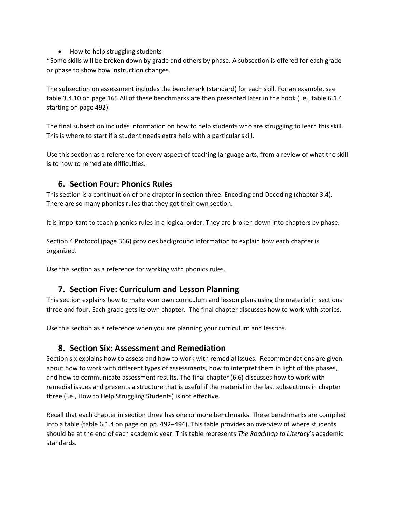• How to help struggling students

\*Some skills will be broken down by grade and others by phase. A subsection is offered for each grade or phase to show how instruction changes.

The subsection on assessment includes the benchmark (standard) for each skill. For an example, see table 3.4.10 on page 165 All of these benchmarks are then presented later in the book (i.e., table 6.1.4 starting on page 492).

The final subsection includes information on how to help students who are struggling to learn this skill. This is where to start if a student needs extra help with a particular skill.

Use this section as a reference for every aspect of teaching language arts, from a review of what the skill is to how to remediate difficulties.

## **6. Section Four: Phonics Rules**

This section is a continuation of one chapter in section three: Encoding and Decoding (chapter 3.4). There are so many phonics rules that they got their own section.

It is important to teach phonics rules in a logical order. They are broken down into chapters by phase.

Section 4 Protocol (page 366) provides background information to explain how each chapter is organized.

Use this section as a reference for working with phonics rules.

# **7. Section Five: Curriculum and Lesson Planning**

This section explains how to make your own curriculum and lesson plans using the material in sections three and four. Each grade gets its own chapter. The final chapter discusses how to work with stories.

Use this section as a reference when you are planning your curriculum and lessons.

## **8. Section Six: Assessment and Remediation**

Section six explains how to assess and how to work with remedial issues. Recommendations are given about how to work with different types of assessments, how to interpret them in light of the phases, and how to communicate assessment results. The final chapter (6.6) discusses how to work with remedial issues and presents a structure that is useful if the material in the last subsections in chapter three (i.e., How to Help Struggling Students) is not effective.

Recall that each chapter in section three has one or more benchmarks. These benchmarks are compiled into a table (table 6.1.4 on page on pp. 492–494). This table provides an overview of where students should be at the end of each academic year. This table represents *The Roadmap to Literacy*'s academic standards.